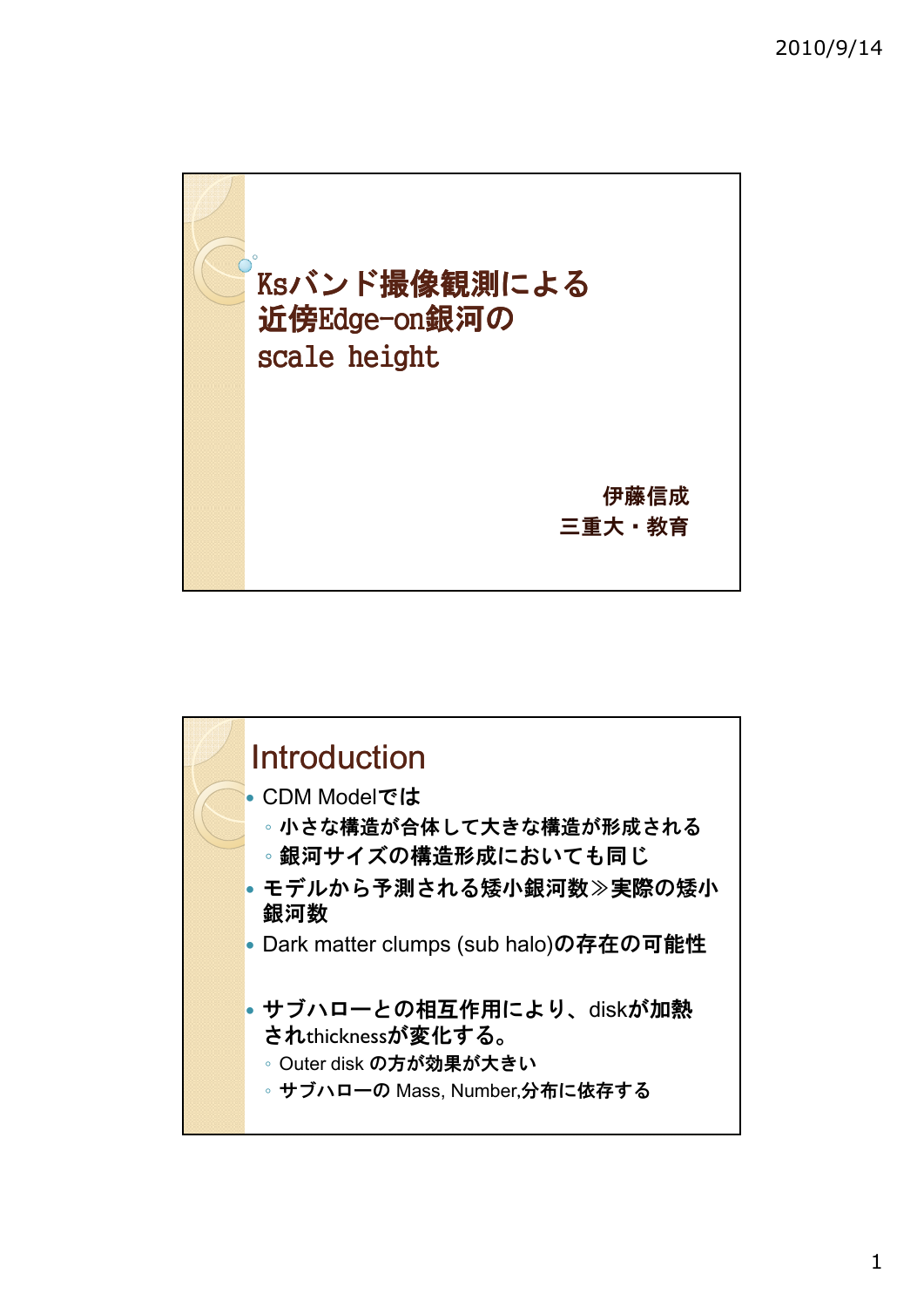



1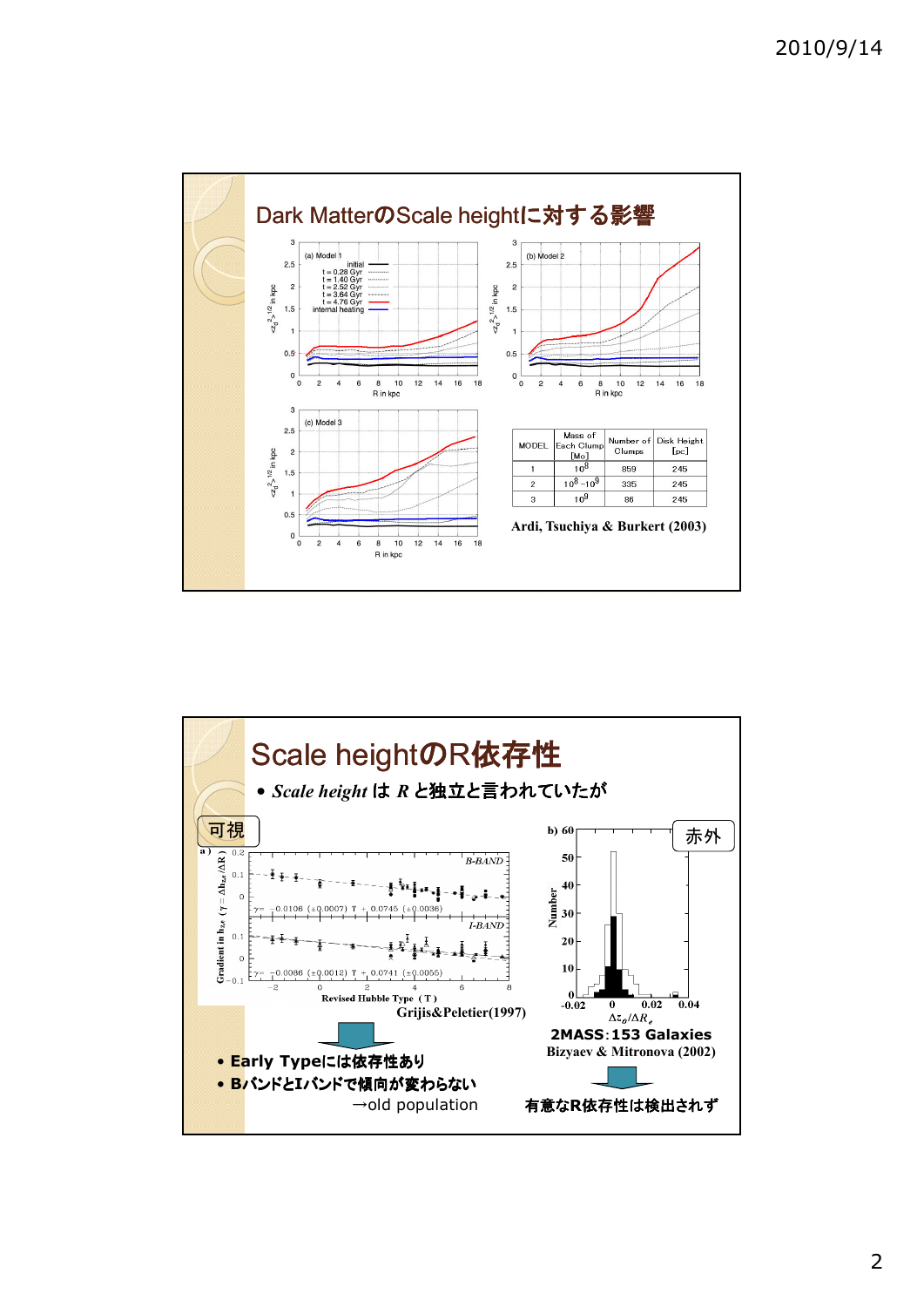



## 2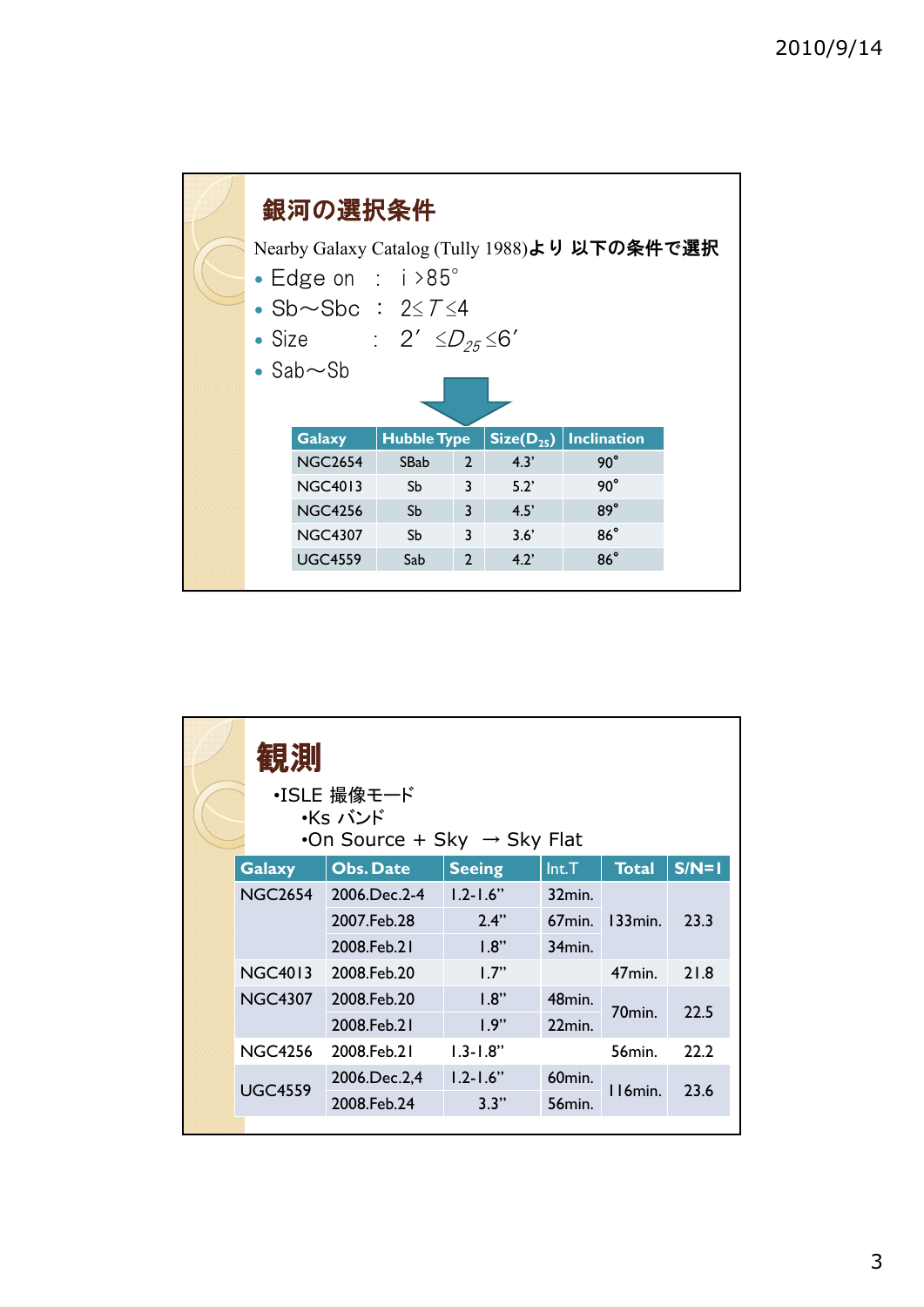| 銀河の選択条件<br>Nearby Galaxy Catalog (Tully 1988)より 以下の条件で選択<br>• Edge on : $i > 85^\circ$<br>$\bullet$ Sb $\sim$ Sbc : 2 $\leq$ T $\leq$ 4 |                |                    |                |                |                    |  |  |  |  |  |  |
|-----------------------------------------------------------------------------------------------------------------------------------------|----------------|--------------------|----------------|----------------|--------------------|--|--|--|--|--|--|
| • Size : $2' \leq D_{25} \leq 6'$<br>$\cdot$ Sab $\sim$ Sb                                                                              |                |                    |                |                |                    |  |  |  |  |  |  |
|                                                                                                                                         |                |                    |                |                |                    |  |  |  |  |  |  |
|                                                                                                                                         | <b>Galaxy</b>  | <b>Hubble Type</b> |                | $Size(D_{25})$ | <b>Inclination</b> |  |  |  |  |  |  |
|                                                                                                                                         | <b>NGC2654</b> | SBab               | $2^{\circ}$    | 4.3'           | $90^{\circ}$       |  |  |  |  |  |  |
|                                                                                                                                         | <b>NGC4013</b> | Sb                 | $\overline{3}$ | 5.2'           | $90^\circ$         |  |  |  |  |  |  |
|                                                                                                                                         | <b>NGC4256</b> | S <sub>b</sub>     | $\overline{3}$ | 4.5'           | $89^\circ$         |  |  |  |  |  |  |
|                                                                                                                                         | <b>NGC4307</b> | <b>Sb</b>          | 3              | 3.6'           | $86^\circ$         |  |  |  |  |  |  |
|                                                                                                                                         | <b>UGC4559</b> | Sab                | $\overline{2}$ | 4.2'           | $86^\circ$         |  |  |  |  |  |  |
|                                                                                                                                         |                |                    |                |                |                    |  |  |  |  |  |  |

|  | 観測<br>・ISLE 撮像モード<br>・Ks バンド<br>•On Source + Sky $\rightarrow$ Sky Flat |                  |               |                    |                     |         |  |  |  |  |  |
|--|-------------------------------------------------------------------------|------------------|---------------|--------------------|---------------------|---------|--|--|--|--|--|
|  | <b>Galaxy</b>                                                           | <b>Obs. Date</b> | <b>Seeing</b> | Int.T              | <b>Total</b>        | $S/N=1$ |  |  |  |  |  |
|  | <b>NGC2654</b>                                                          | 2006.Dec.2-4     | $1.2 - 1.6$ " | 32min.             |                     |         |  |  |  |  |  |
|  |                                                                         | 2007.Feb.28      | 2.4"          | $67$ min.          | $133$ min.          | 23.3    |  |  |  |  |  |
|  |                                                                         | 2008.Feb.21      | 1.8"          | 34 <sub>min.</sub> |                     |         |  |  |  |  |  |
|  | <b>NGC4013</b>                                                          | 2008.Feb.20      | 1.7"          |                    | $47$ min.           | 21.8    |  |  |  |  |  |
|  | <b>NGC4307</b>                                                          | 2008.Feb.20      | 1.8"          | 48 <sub>min.</sub> |                     | 22.5    |  |  |  |  |  |
|  |                                                                         | 2008.Feb.21      | 1.9"          | 22min.             | 70 <sub>min</sub> . |         |  |  |  |  |  |
|  | <b>NGC4256</b>                                                          | 2008.Feb.21      | $1.3 - 1.8"$  |                    | 56 <sub>min.</sub>  | 22.2    |  |  |  |  |  |
|  |                                                                         | 2006.Dec.2,4     | $1.2 - 1.6"$  | 60 <sub>min.</sub> |                     | 23.6    |  |  |  |  |  |
|  | <b>UGC4559</b>                                                          | 2008.Feb.24      | 3.3"          | 56 <sub>min.</sub> | II6min.             |         |  |  |  |  |  |
|  |                                                                         |                  |               |                    |                     |         |  |  |  |  |  |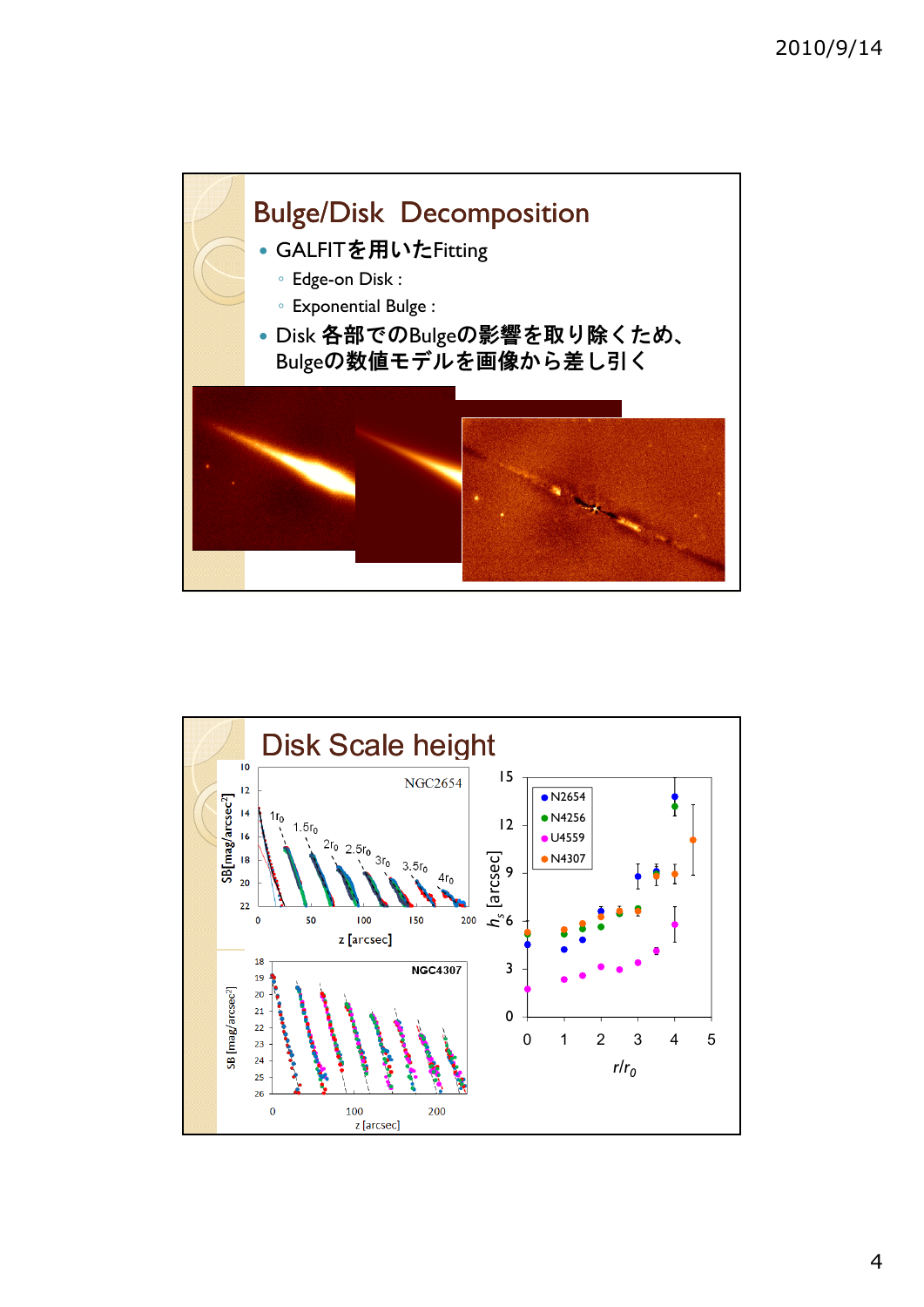

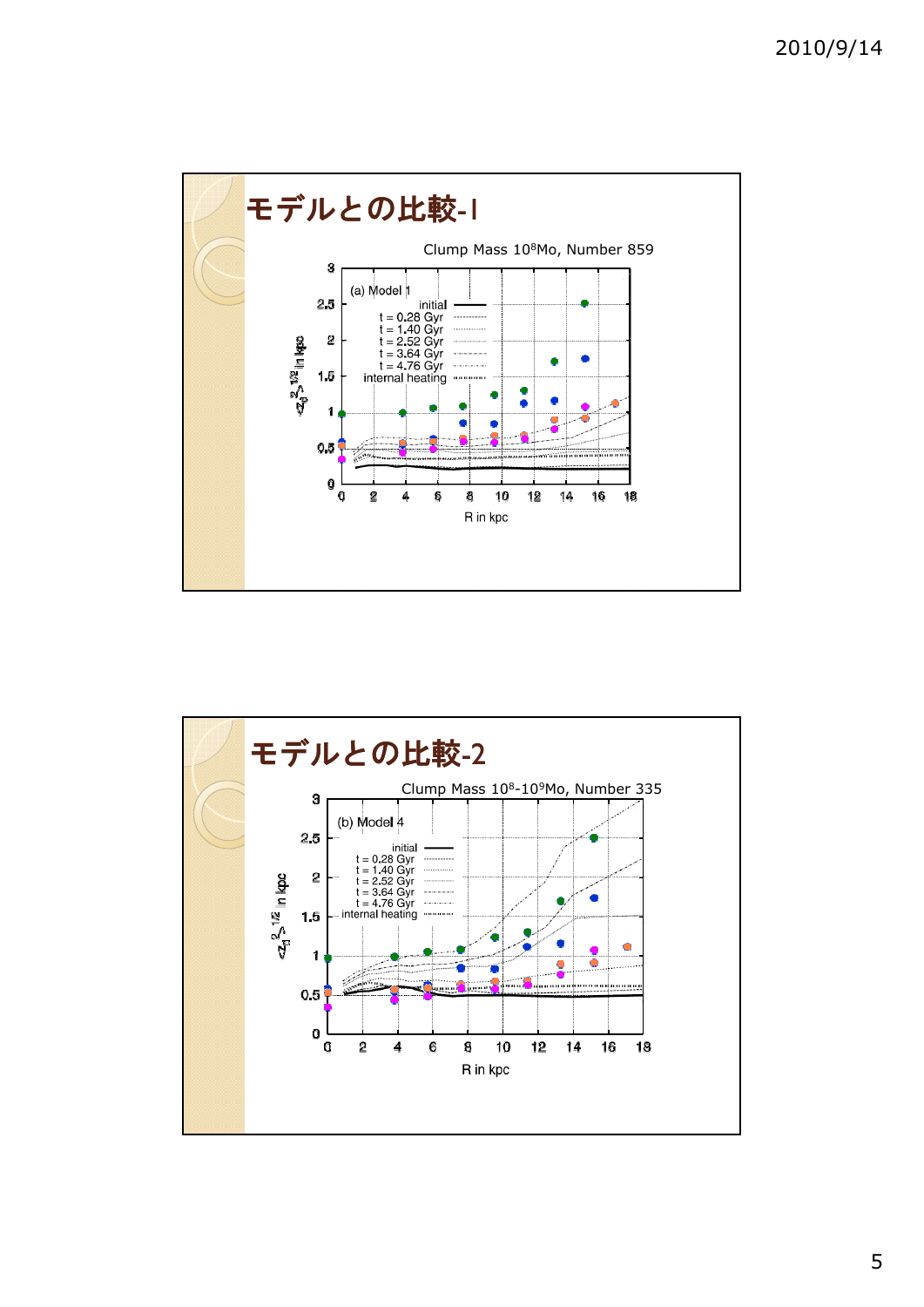

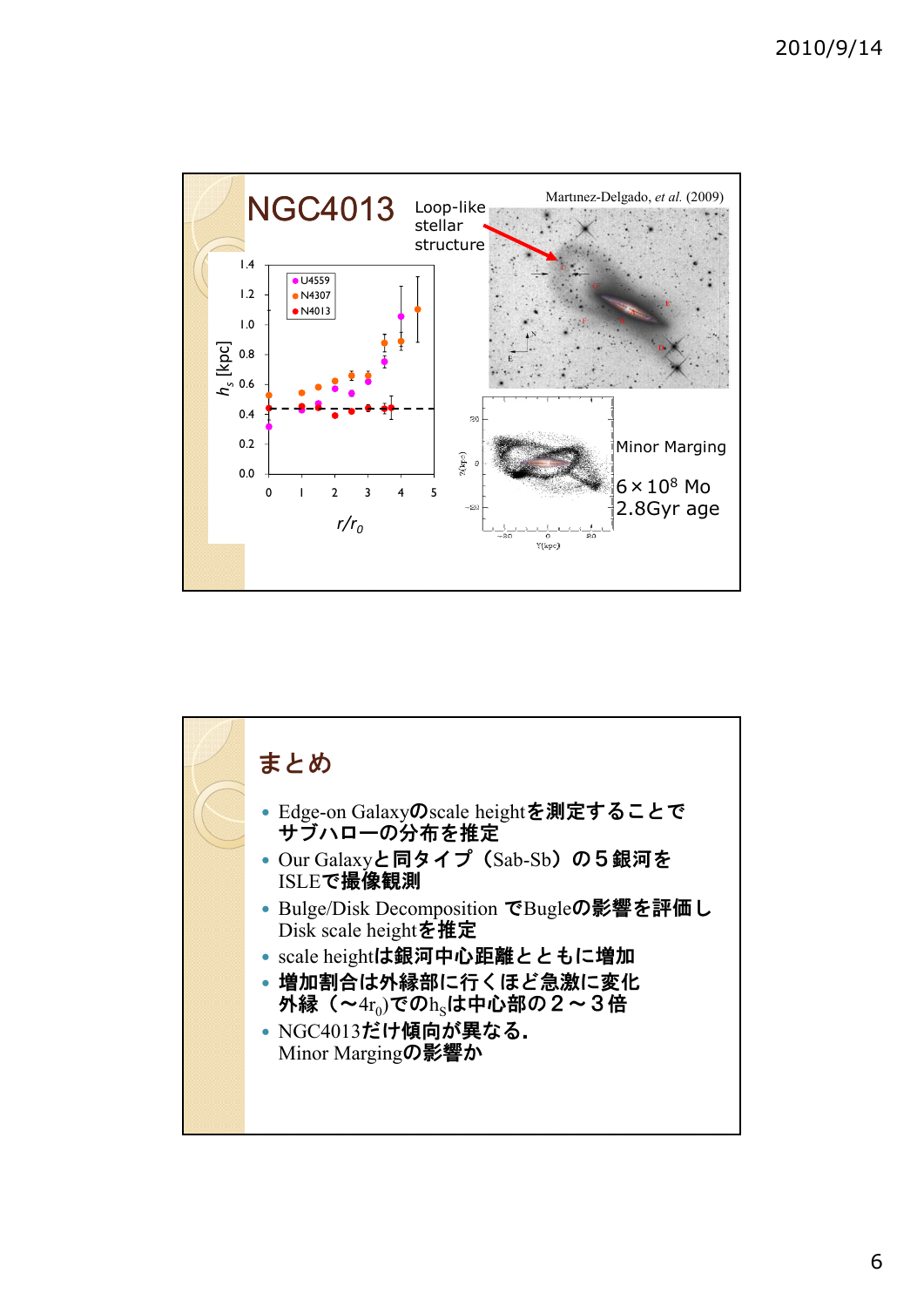